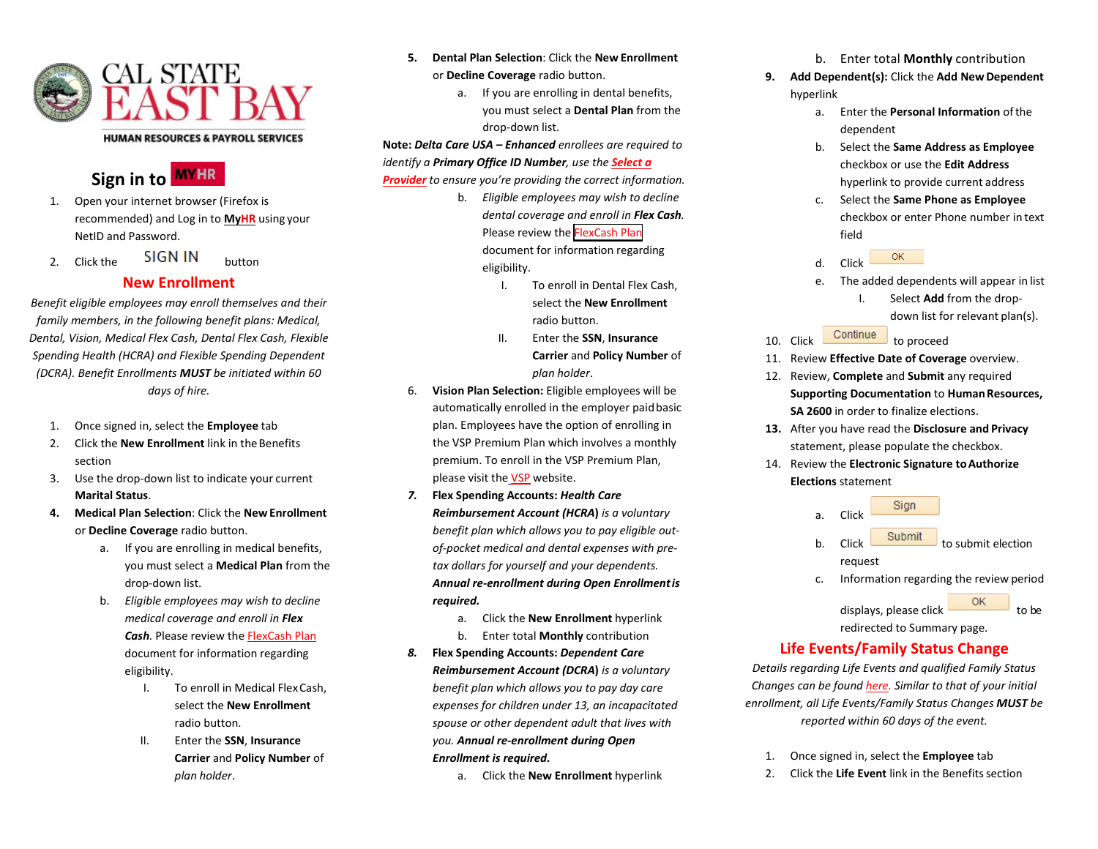

## Signin to **MYHR**

- 1. Open your internet browser (Firefox is recommended) and Log in to **[MyHR](https://www.csueastbay.edu/myhr/)** using your NetID and Password.
- 2.  $Click the$   $SIGN IN$  button

## **New Enrollment**

*Benefit eligible employees may enroll themselves and their family members, in the following benefit plans: Medical, Dental, Vision, Medical Flex Cash, Dental Flex Cash, Flexible Spending Health (HCRA) and Flexible Spending Dependent (DCRA). Benefit Enrollments MUST be initiated within 60 days of hire.*

- 1. Once signed in, select the **Employee** tab
- 2. Click the **New Enrollment** link in the Benefits section
- 3. Use the drop-down list to indicate your current **Marital Status**.
- **4. Medical Plan Selection**: Click the **NewEnrollment** or **Decline Coverage** radio button.
	- a. If you are enrolling in medical benefits, you must select a **Medical Plan** from the drop-down list.
	- b. *Eligible employees may wish to decline medical coverage and enroll in Flex Cash.* Please review the [FlexCash Plan](https://www.csueastbay.edu/hr/benefits/health-plans/flex-cash.html) document for information regarding eligibility.
		- I. To enroll in Medical FlexCash, select the **New Enrollment** radio button.
		- II. Enter the **SSN**, **Insurance Carrier** and **Policy Number** of *plan holder*.
- **5. Dental Plan Selection**: Click the **New Enrollment** or **Decline Coverage** radio button.
	- a. If you are enrolling in dental benefits, you must select a **Dental Plan** from the drop-down list.

**Note:** *Delta Care USA – Enhanced enrollees are required to identify a Primary Office ID Number, use the [Select a](https://www.deltadentalins.com/state/find-a-dentist.html) [Provider](https://www.deltadentalins.com/state/find-a-dentist.html) to ensure you're providing the correct information.*

- b. *Eligible employees may wish to decline dental coverage and enroll in Flex Cash.* Please review the [FlexCash Plan](http://www.csueastbay.edu/af/departments/hr/benefits/Employee%20Health%20Plans/flex-cash.html) document for information regarding eligibility.
	- I. To enroll in Dental Flex Cash, select the **New Enrollment** radio button.
	- II. Enter the **SSN**, **Insurance Carrier** and **Policy Number** of *plan holder*.
- 6. **Vision Plan Selection:** Eligible employees will be automatically enrolled in the employer paidbasic plan. Employees have the option of enrolling in the VSP Premium Plan which involves a monthly premium. To enroll in the VSP Premium Plan, please visit the [VSP](http://csuactives.vspforme.com/) website.
- *7.* **Flex Spending Accounts:** *Health Care Reimbursement Account (HCRA***)** *is a voluntary benefit plan which allows you to pay eligible outof-pocket medical and dental expenses with pretax dollars for yourself and your dependents. Annual re-enrollment during Open Enrollmentis required.*
	- a. Click the **New Enrollment** hyperlink
	- b. Enter total **Monthly** contribution
- *8.* **Flex Spending Accounts:** *Dependent Care Reimbursement Account (DCRA***)** *is a voluntary benefit plan which allows you to pay day care expenses for children under 13, an incapacitated spouse or other dependent adult that lives with you. Annual re-enrollment during Open Enrollment is required.*
	- a. Click the **New Enrollment** hyperlink

b. Enter total **Monthly** contribution

- **9. Add Dependent(s):** Click the **Add NewDependent** hyperlink
	- a. Enter the **Personal Information** ofthe dependent
	- b. Select the **Same Address as Employee** checkbox or use the **Edit Address** hyperlink to provide current address
	- c. Select the **Same Phone as Employee** checkbox or enter Phone number in text field



- e. The added dependents will appear in list
	- I. Select **Add** from the dropdown list for relevant plan(s).
- 10. Click **Continue** to proceed
- 11. Review **Effective Date of Coverage** overview.
- 12. Review, **Complete** and **Submit** any required **Supporting Documentation** to **Human Resources, SA 2600** in order to finalize elections.
- **13.** After you have read the **Disclosure and Privacy** statement, please populate the checkbox.
- 14. Review the **Electronic Signature toAuthorize Elections** statement



 $displays.$  please click  $\overline{\phantom{a}}$  ok to be redirected to Summary page.

## **Life Events/Family Status Change**

*Details regarding Life Events and qualified Family Status Changes can be foun[d here. S](https://www.csueastbay.edu/hr/benefits/health-plans/index.html)imilar to that of your initial enrollment, all Life Events/Family Status Changes MUST be reported within 60 days of the event.*

- 1. Once signed in, select the **Employee** tab
- 2. Click the **Life Event** link in the Benefits section